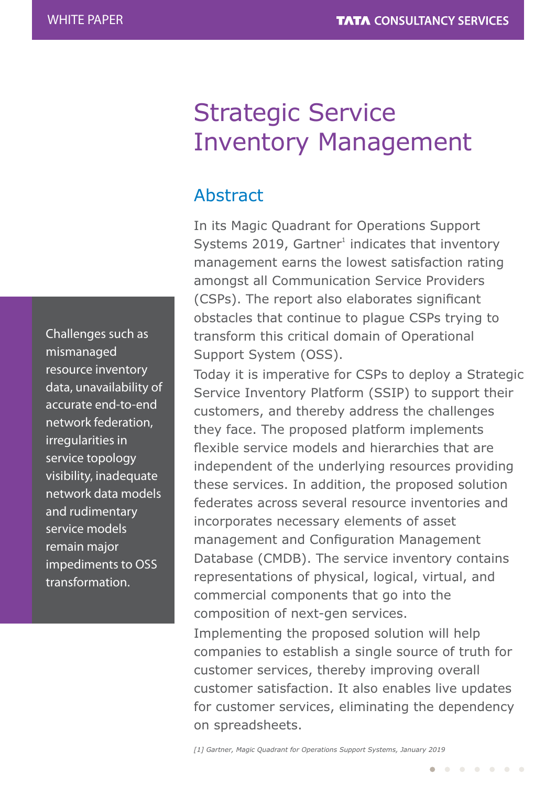### Challenges such as mismanaged resource inventory data, unavailability of accurate end-to-end network federation, irregularities in service topology visibility, inadequate network data models and rudimentary service models remain major impediments to OSS transformation.

# Strategic Service Inventory Management

# Abstract

In its Magic Quadrant for Operations Support Systems 2019, Gartner $1$  indicates that inventory management earns the lowest satisfaction rating amongst all Communication Service Providers (CSPs). The report also elaborates significant obstacles that continue to plague CSPs trying to transform this critical domain of Operational Support System (OSS).

Today it is imperative for CSPs to deploy a Strategic Service Inventory Platform (SSIP) to support their customers, and thereby address the challenges they face. The proposed platform implements flexible service models and hierarchies that are independent of the underlying resources providing these services. In addition, the proposed solution federates across several resource inventories and incorporates necessary elements of asset management and Configuration Management Database (CMDB). The service inventory contains representations of physical, logical, virtual, and commercial components that go into the composition of next-gen services.

Implementing the proposed solution will help companies to establish a single source of truth for customer services, thereby improving overall customer satisfaction. It also enables live updates for customer services, eliminating the dependency on spreadsheets.

*[1] Gartner, Magic Quadrant for Operations Support Systems, January 2019*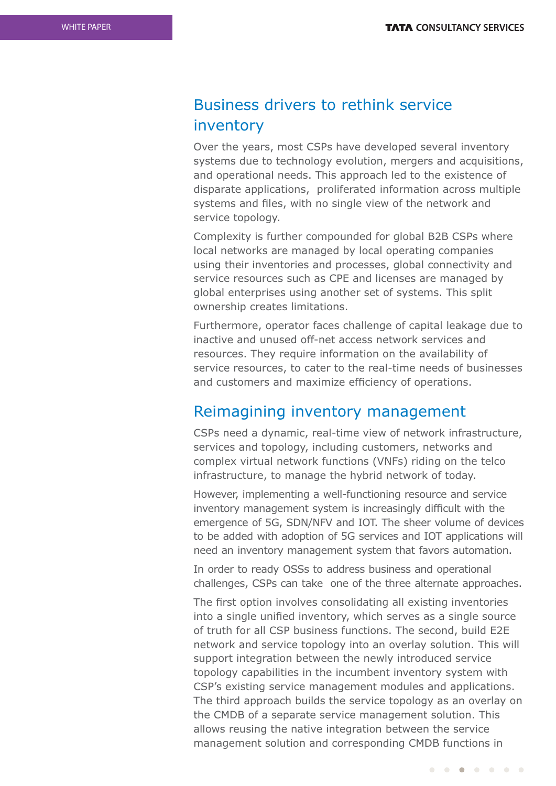### Business drivers to rethink service inventory

Over the years, most CSPs have developed several inventory systems due to technology evolution, mergers and acquisitions, and operational needs. This approach led to the existence of disparate applications, proliferated information across multiple systems and files, with no single view of the network and service topology.

Complexity is further compounded for global B2B CSPs where local networks are managed by local operating companies using their inventories and processes, global connectivity and service resources such as CPE and licenses are managed by global enterprises using another set of systems. This split ownership creates limitations.

Furthermore, operator faces challenge of capital leakage due to inactive and unused off-net access network services and resources. They require information on the availability of service resources, to cater to the real-time needs of businesses and customers and maximize efficiency of operations.

#### Reimagining inventory management

CSPs need a dynamic, real-time view of network infrastructure, services and topology, including customers, networks and complex virtual network functions (VNFs) riding on the telco infrastructure, to manage the hybrid network of today.

However, implementing a well-functioning resource and service inventory management system is increasingly difficult with the emergence of 5G, SDN/NFV and IOT. The sheer volume of devices to be added with adoption of 5G services and IOT applications will need an inventory management system that favors automation.

In order to ready OSSs to address business and operational challenges, CSPs can take one of the three alternate approaches.

The first option involves consolidating all existing inventories into a single unified inventory, which serves as a single source of truth for all CSP business functions. The second, build E2E network and service topology into an overlay solution. This will support integration between the newly introduced service topology capabilities in the incumbent inventory system with CSP's existing service management modules and applications. The third approach builds the service topology as an overlay on the CMDB of a separate service management solution. This allows reusing the native integration between the service management solution and corresponding CMDB functions in

 $\begin{array}{cccccccccccccccccc} \bullet & \bullet & \bullet & \bullet & \bullet & \bullet & \bullet & \bullet & \bullet & \bullet \end{array}$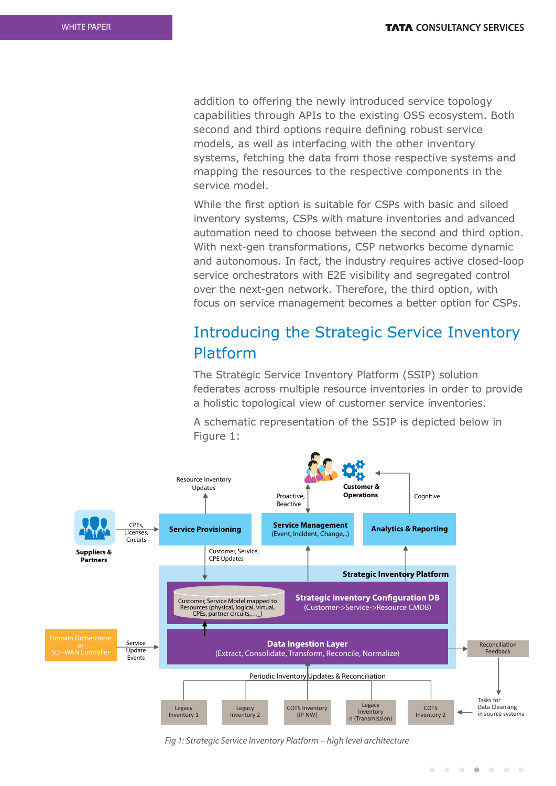addition to offering the newly introduced service topology capabilities through APIs to the existing OSS ecosystem. Both second and third options require defining robust service models, as well as interfacing with the other inventory systems, fetching the data from those respective systems and mapping the resources to the respective components in the service model.

While the first option is suitable for CSPs with basic and siloed inventory systems, CSPs with mature inventories and advanced automation need to choose between the second and third option. With next-gen transformations, CSP networks become dynamic and autonomous. In fact, the industry requires active closed-loop service orchestrators with E2E visibility and segregated control over the next-gen network. Therefore, the third option, with focus on service management becomes a better option for CSPs.

### Introducing the Strategic Service Inventory Platform

The Strategic Service Inventory Platform (SSIP) solution federates across multiple resource inventories in order to provide a holistic topological view of customer service inventories.

A schematic representation of the SSIP is depicted below in Figure 1:



Fig 1: Strategic Service Inventory Platform – high level architecture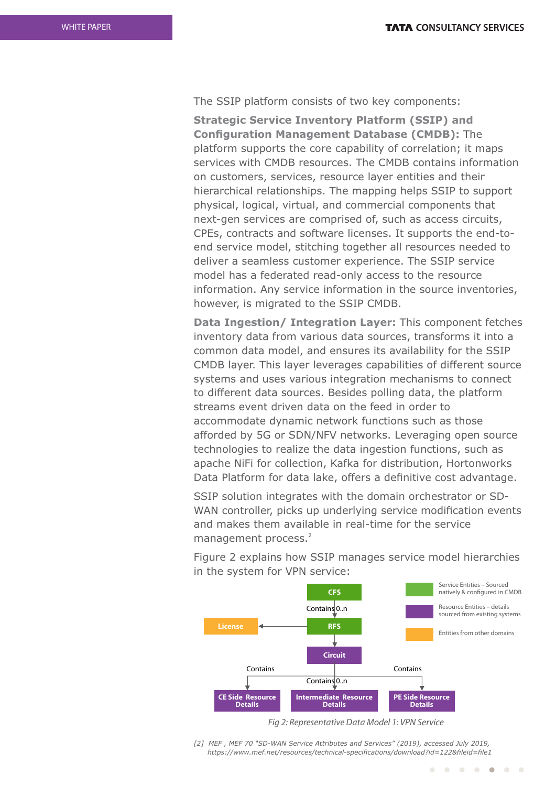The SSIP platform consists of two key components:

**Strategic Service Inventory Platform (SSIP) and Configuration Management Database (CMDB):** The platform supports the core capability of correlation; it maps services with CMDB resources. The CMDB contains information on customers, services, resource layer entities and their hierarchical relationships. The mapping helps SSIP to support physical, logical, virtual, and commercial components that next-gen services are comprised of, such as access circuits, CPEs, contracts and software licenses. It supports the end-toend service model, stitching together all resources needed to deliver a seamless customer experience. The SSIP service model has a federated read-only access to the resource information. Any service information in the source inventories, however, is migrated to the SSIP CMDB.

**Data Ingestion/ Integration Layer:** This component fetches inventory data from various data sources, transforms it into a common data model, and ensures its availability for the SSIP CMDB layer. This layer leverages capabilities of different source systems and uses various integration mechanisms to connect to different data sources. Besides polling data, the platform streams event driven data on the feed in order to accommodate dynamic network functions such as those afforded by 5G or SDN/NFV networks. Leveraging open source technologies to realize the data ingestion functions, such as apache NiFi for collection, Kafka for distribution, Hortonworks Data Platform for data lake, offers a definitive cost advantage.

SSIP solution integrates with the domain orchestrator or SD-WAN controller, picks up underlying service modification events and makes them available in real-time for the service management process.<sup>2</sup>

Figure 2 explains how SSIP manages service model hierarchies in the system for VPN service:



Fig 2: Representative Data Model 1: VPN Service

*<sup>[2]</sup> MEF , MEF 70 "SD-WAN Service Attributes and Services" (2019), accessed July 2019,*  https://www.mef.net/resources/technical-specifications/download?id=122&fileid=file1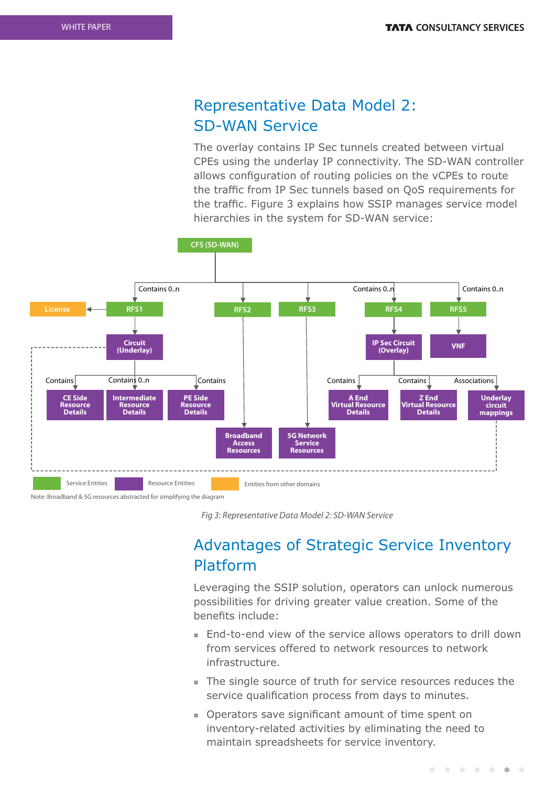### Representative Data Model 2: SD-WAN Service

The overlay contains IP Sec tunnels created between virtual CPEs using the underlay IP connectivity. The SD-WAN controller allows configuration of routing policies on the vCPEs to route the traffic from IP Sec tunnels based on QoS requirements for the traffic. Figure 3 explains how SSIP manages service model hierarchies in the system for SD-WAN service:



Note: Broadband & 5G resources abstracted for simplifying the diagram

Fig 3: Representative Data Model 2: SD-WAN Service

## Advantages of Strategic Service Inventory Platform

Leveraging the SSIP solution, operators can unlock numerous possibilities for driving greater value creation. Some of the benefits include:

- End-to-end view of the service allows operators to drill down from services offered to network resources to network infrastructure.
- The single source of truth for service resources reduces the service qualification process from days to minutes.
- Operators save significant amount of time spent on inventory-related activities by eliminating the need to maintain spreadsheets for service inventory.

. . . . . . .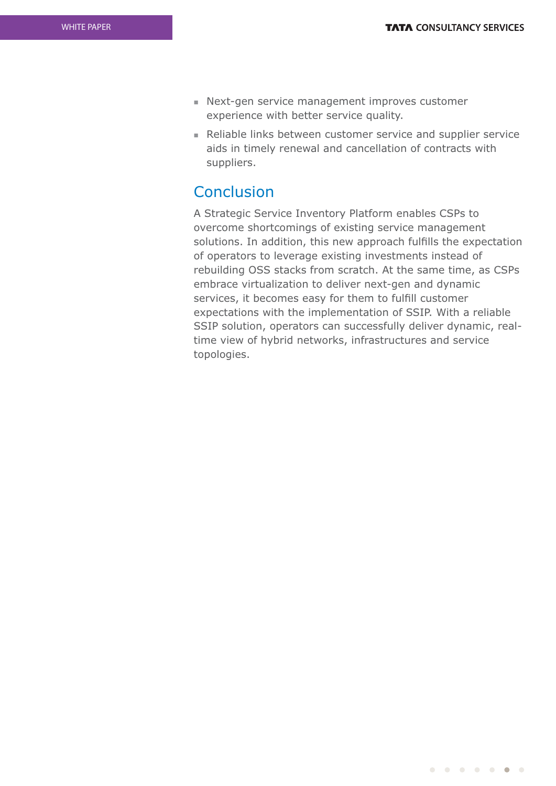- Next-gen service management improves customer experience with better service quality.
- <sup>n</sup> Reliable links between customer service and supplier service aids in timely renewal and cancellation of contracts with suppliers.

### **Conclusion**

A Strategic Service Inventory Platform enables CSPs to overcome shortcomings of existing service management solutions. In addition, this new approach fulfills the expectation of operators to leverage existing investments instead of rebuilding OSS stacks from scratch. At the same time, as CSPs embrace virtualization to deliver next-gen and dynamic services, it becomes easy for them to fulfill customer expectations with the implementation of SSIP. With a reliable SSIP solution, operators can successfully deliver dynamic, realtime view of hybrid networks, infrastructures and service topologies.